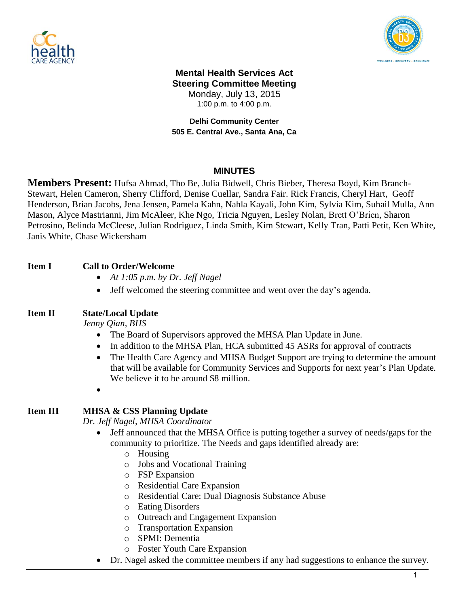



### **Mental Health Services Act Steering Committee Meeting** Monday, July 13, 2015 1:00 p.m. to 4:00 p.m.

### **Delhi Community Center 505 E. Central Ave., Santa Ana, Ca**

## **MINUTES**

**Members Present:** Hufsa Ahmad, Tho Be, Julia Bidwell, Chris Bieber, Theresa Boyd, Kim Branch-Stewart, Helen Cameron, Sherry Clifford, Denise Cuellar, Sandra Fair. Rick Francis, Cheryl Hart, Geoff Henderson, Brian Jacobs, Jena Jensen, Pamela Kahn, Nahla Kayali, John Kim, Sylvia Kim, Suhail Mulla, Ann Mason, Alyce Mastrianni, Jim McAleer, Khe Ngo, Tricia Nguyen, Lesley Nolan, Brett O'Brien, Sharon Petrosino, Belinda McCleese, Julian Rodriguez, Linda Smith, Kim Stewart, Kelly Tran, Patti Petit, Ken White, Janis White, Chase Wickersham

# **Item I Call to Order/Welcome**

- *At 1:05 p.m. by Dr. Jeff Nagel*
- Jeff welcomed the steering committee and went over the day's agenda.

### **Item II State/Local Update**

*Jenny Qian, BHS* 

- The Board of Supervisors approved the MHSA Plan Update in June.
- In addition to the MHSA Plan, HCA submitted 45 ASRs for approval of contracts
- The Health Care Agency and MHSA Budget Support are trying to determine the amount that will be available for Community Services and Supports for next year's Plan Update. We believe it to be around \$8 million.
- $\bullet$

## **Item III MHSA & CSS Planning Update**

*Dr. Jeff Nagel, MHSA Coordinator*

- Jeff announced that the MHSA Office is putting together a survey of needs/gaps for the community to prioritize. The Needs and gaps identified already are:
	- o Housing
	- o Jobs and Vocational Training
	- o FSP Expansion
	- o Residential Care Expansion
	- o Residential Care: Dual Diagnosis Substance Abuse
	- o Eating Disorders
	- o Outreach and Engagement Expansion
	- o Transportation Expansion
	- o SPMI: Dementia
	- o Foster Youth Care Expansion
- Dr. Nagel asked the committee members if any had suggestions to enhance the survey.